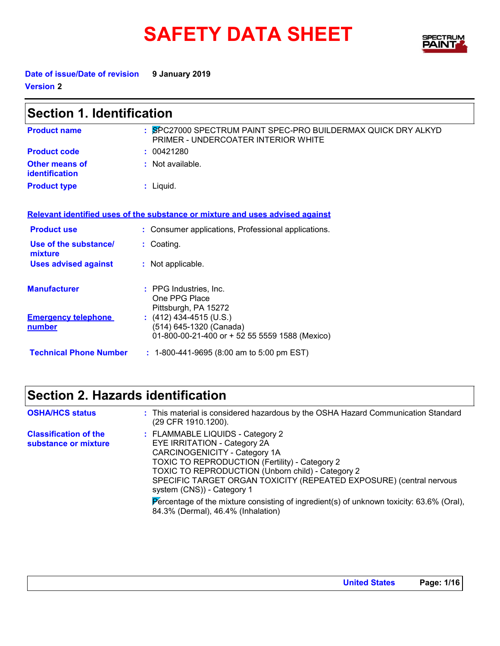## SAFETY DATA SHEET SPECTRY



**Date of issue/Date of revision 9 January 2019 Version 2**

| <b>Section 1. Identification</b>     |                                                                                                      |  |
|--------------------------------------|------------------------------------------------------------------------------------------------------|--|
| <b>Product name</b>                  | SPC27000 SPECTRUM PAINT SPEC-PRO BUILDERMAX QUICK DRY ALKYD<br>PRIMER - UNDERCOATER INTERIOR WHITE   |  |
| <b>Product code</b>                  | : 00421280                                                                                           |  |
| Other means of<br>identification     | : Not available.                                                                                     |  |
| <b>Product type</b>                  | : Liquid.                                                                                            |  |
|                                      | Relevant identified uses of the substance or mixture and uses advised against                        |  |
| <b>Product use</b>                   | : Consumer applications, Professional applications.                                                  |  |
| Use of the substance/<br>mixture     | : Coating.                                                                                           |  |
| <b>Uses advised against</b>          | : Not applicable.                                                                                    |  |
| <b>Manufacturer</b>                  | : PPG Industries. Inc.<br>One PPG Place<br>Pittsburgh, PA 15272                                      |  |
| <b>Emergency telephone</b><br>number | $(412)$ 434-4515 (U.S.)<br>(514) 645-1320 (Canada)<br>01-800-00-21-400 or + 52 55 5559 1588 (Mexico) |  |
| <b>Technical Phone Number</b>        | : 1-800-441-9695 (8:00 am to 5:00 pm EST)                                                            |  |

## **Section 2. Hazards identification**

| <b>OSHA/HCS status</b>                               | : This material is considered hazardous by the OSHA Hazard Communication Standard<br>(29 CFR 1910.1200).                                                                                                                                                                                                                                                                                                                                        |
|------------------------------------------------------|-------------------------------------------------------------------------------------------------------------------------------------------------------------------------------------------------------------------------------------------------------------------------------------------------------------------------------------------------------------------------------------------------------------------------------------------------|
| <b>Classification of the</b><br>substance or mixture | : FLAMMABLE LIQUIDS - Category 2<br>EYE IRRITATION - Category 2A<br>CARCINOGENICITY - Category 1A<br>TOXIC TO REPRODUCTION (Fertility) - Category 2<br>TOXIC TO REPRODUCTION (Unborn child) - Category 2<br>SPECIFIC TARGET ORGAN TOXICITY (REPEATED EXPOSURE) (central nervous<br>system (CNS)) - Category 1<br>Percentage of the mixture consisting of ingredient(s) of unknown toxicity: 63.6% (Oral),<br>84.3% (Dermal), 46.4% (Inhalation) |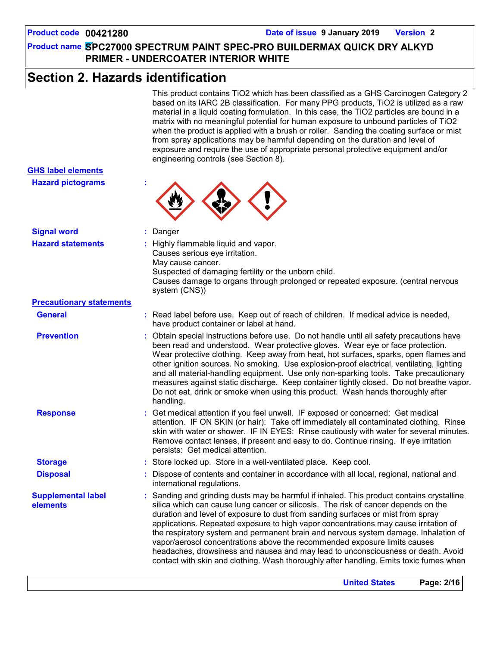#### **SPC27000 SPECTRUM PAINT SPEC-PRO BUILDERMAX QUICK DRY ALKYD Product name PRIMER - UNDERCOATER INTERIOR WHITE**

## **Section 2. Hazards identification**

This product contains TiO2 which has been classified as a GHS Carcinogen Category 2 based on its IARC 2B classification. For many PPG products, TiO2 is utilized as a raw material in a liquid coating formulation. In this case, the TiO2 particles are bound in a matrix with no meaningful potential for human exposure to unbound particles of TiO2 when the product is applied with a brush or roller. Sanding the coating surface or mist from spray applications may be harmful depending on the duration and level of exposure and require the use of appropriate personal protective equipment and/or engineering controls (see Section 8).

#### **Hazard pictograms : GHS label elements**



| <b>Signal word</b>                    | : Danger                                                                                                                                                                                                                                                                                                                                                                                                                                                                                                                                                                                                                                                                                                     |
|---------------------------------------|--------------------------------------------------------------------------------------------------------------------------------------------------------------------------------------------------------------------------------------------------------------------------------------------------------------------------------------------------------------------------------------------------------------------------------------------------------------------------------------------------------------------------------------------------------------------------------------------------------------------------------------------------------------------------------------------------------------|
| <b>Hazard statements</b>              | Highly flammable liquid and vapor.<br>Causes serious eye irritation.<br>May cause cancer.<br>Suspected of damaging fertility or the unborn child.<br>Causes damage to organs through prolonged or repeated exposure. (central nervous<br>system (CNS))                                                                                                                                                                                                                                                                                                                                                                                                                                                       |
| <b>Precautionary statements</b>       |                                                                                                                                                                                                                                                                                                                                                                                                                                                                                                                                                                                                                                                                                                              |
| <b>General</b>                        | : Read label before use. Keep out of reach of children. If medical advice is needed,<br>have product container or label at hand.                                                                                                                                                                                                                                                                                                                                                                                                                                                                                                                                                                             |
| <b>Prevention</b>                     | Obtain special instructions before use. Do not handle until all safety precautions have<br>been read and understood. Wear protective gloves. Wear eye or face protection.<br>Wear protective clothing. Keep away from heat, hot surfaces, sparks, open flames and<br>other ignition sources. No smoking. Use explosion-proof electrical, ventilating, lighting<br>and all material-handling equipment. Use only non-sparking tools. Take precautionary<br>measures against static discharge. Keep container tightly closed. Do not breathe vapor.<br>Do not eat, drink or smoke when using this product. Wash hands thoroughly after<br>handling.                                                            |
| <b>Response</b>                       | : Get medical attention if you feel unwell. IF exposed or concerned: Get medical<br>attention. IF ON SKIN (or hair): Take off immediately all contaminated clothing. Rinse<br>skin with water or shower. IF IN EYES: Rinse cautiously with water for several minutes.<br>Remove contact lenses, if present and easy to do. Continue rinsing. If eye irritation<br>persists: Get medical attention.                                                                                                                                                                                                                                                                                                           |
| <b>Storage</b>                        | : Store locked up. Store in a well-ventilated place. Keep cool.                                                                                                                                                                                                                                                                                                                                                                                                                                                                                                                                                                                                                                              |
| <b>Disposal</b>                       | Dispose of contents and container in accordance with all local, regional, national and<br>international regulations.                                                                                                                                                                                                                                                                                                                                                                                                                                                                                                                                                                                         |
| <b>Supplemental label</b><br>elements | : Sanding and grinding dusts may be harmful if inhaled. This product contains crystalline<br>silica which can cause lung cancer or silicosis. The risk of cancer depends on the<br>duration and level of exposure to dust from sanding surfaces or mist from spray<br>applications. Repeated exposure to high vapor concentrations may cause irritation of<br>the respiratory system and permanent brain and nervous system damage. Inhalation of<br>vapor/aerosol concentrations above the recommended exposure limits causes<br>headaches, drowsiness and nausea and may lead to unconsciousness or death. Avoid<br>contact with skin and clothing. Wash thoroughly after handling. Emits toxic fumes when |

**United States Page: 2/16**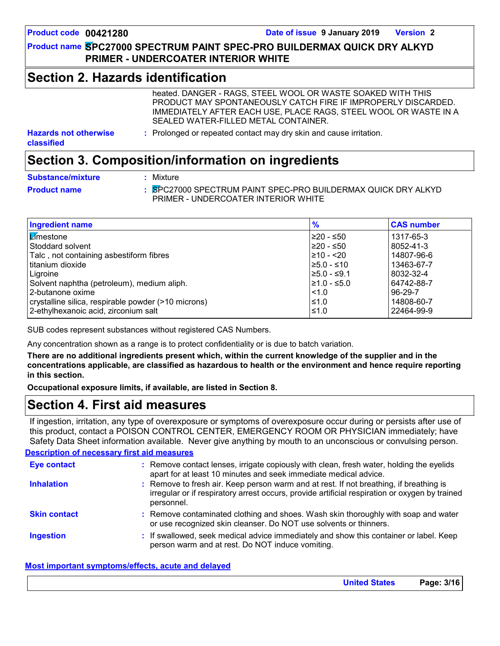#### **SPC27000 SPECTRUM PAINT SPEC-PRO BUILDERMAX QUICK DRY ALKYD Product name PRIMER - UNDERCOATER INTERIOR WHITE**

## **Section 2. Hazards identification**

## **Section 3. Composition/information on ingredients**

: Mixture

#### **Substance/mixture :**

**Product name** : SPC27000 SPECTRUM PAINT SPEC-PRO BUILDERMAX QUICK DRY ALKYD PRIMER - UNDERCOATER INTERIOR WHITE

| <b>Ingredient name</b>                              | $\frac{9}{6}$    | <b>CAS number</b> |
|-----------------------------------------------------|------------------|-------------------|
| <b>E</b> mestone                                    | 220 - ≤50        | 1317-65-3         |
| Stoddard solvent                                    | 220 - ≤50        | 8052-41-3         |
| Talc, not containing asbestiform fibres             | $\geq 10 - 20$   | 14807-96-6        |
| titanium dioxide                                    | $≥5.0 - ≤10$     | 13463-67-7        |
| Ligroine                                            | 25.0 - ≤9.1      | 8032-32-4         |
| Solvent naphtha (petroleum), medium aliph.          | $\geq 1.0 - 5.0$ | 64742-88-7        |
| 2-butanone oxime                                    | $ $ < 1.0        | $96-29-7$         |
| crystalline silica, respirable powder (>10 microns) | $\leq 1.0$       | 14808-60-7        |
| 2-ethylhexanoic acid, zirconium salt                | ≤1.0             | 22464-99-9        |

SUB codes represent substances without registered CAS Numbers.

Any concentration shown as a range is to protect confidentiality or is due to batch variation.

**There are no additional ingredients present which, within the current knowledge of the supplier and in the concentrations applicable, are classified as hazardous to health or the environment and hence require reporting in this section.**

**Occupational exposure limits, if available, are listed in Section 8.**

## **Section 4. First aid measures**

**Description of necessary first aid measures** If ingestion, irritation, any type of overexposure or symptoms of overexposure occur during or persists after use of this product, contact a POISON CONTROL CENTER, EMERGENCY ROOM OR PHYSICIAN immediately; have Safety Data Sheet information available. Never give anything by mouth to an unconscious or convulsing person.

| <b>Eye contact</b>  | : Remove contact lenses, irrigate copiously with clean, fresh water, holding the eyelids<br>apart for at least 10 minutes and seek immediate medical advice.                                           |
|---------------------|--------------------------------------------------------------------------------------------------------------------------------------------------------------------------------------------------------|
| <b>Inhalation</b>   | : Remove to fresh air. Keep person warm and at rest. If not breathing, if breathing is<br>irregular or if respiratory arrest occurs, provide artificial respiration or oxygen by trained<br>personnel. |
| <b>Skin contact</b> | : Remove contaminated clothing and shoes. Wash skin thoroughly with soap and water<br>or use recognized skin cleanser. Do NOT use solvents or thinners.                                                |
| <b>Ingestion</b>    | : If swallowed, seek medical advice immediately and show this container or label. Keep<br>person warm and at rest. Do NOT induce vomiting.                                                             |

#### **Most important symptoms/effects, acute and delayed**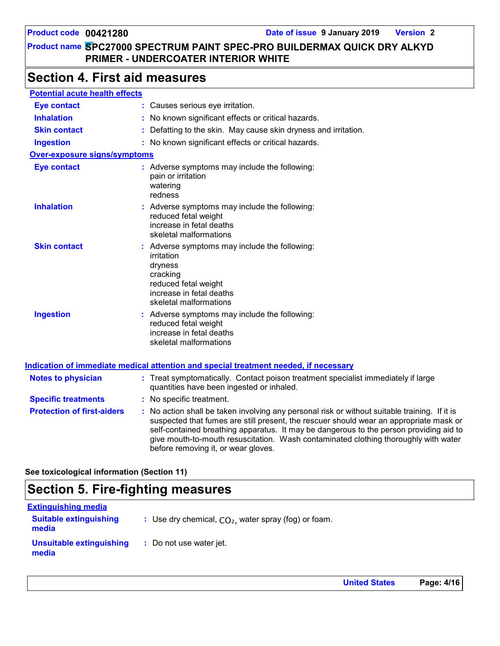## **Section 4. First aid measures**

| <b>Potential acute health effects</b> |                                                                                                                                                                                                                                                                                                                                                                                                                 |
|---------------------------------------|-----------------------------------------------------------------------------------------------------------------------------------------------------------------------------------------------------------------------------------------------------------------------------------------------------------------------------------------------------------------------------------------------------------------|
| <b>Eye contact</b>                    | : Causes serious eye irritation.                                                                                                                                                                                                                                                                                                                                                                                |
| <b>Inhalation</b>                     | : No known significant effects or critical hazards.                                                                                                                                                                                                                                                                                                                                                             |
| <b>Skin contact</b>                   | : Defatting to the skin. May cause skin dryness and irritation.                                                                                                                                                                                                                                                                                                                                                 |
| <b>Ingestion</b>                      | : No known significant effects or critical hazards.                                                                                                                                                                                                                                                                                                                                                             |
| <b>Over-exposure signs/symptoms</b>   |                                                                                                                                                                                                                                                                                                                                                                                                                 |
| <b>Eye contact</b>                    | : Adverse symptoms may include the following:<br>pain or irritation<br>watering<br>redness                                                                                                                                                                                                                                                                                                                      |
| <b>Inhalation</b>                     | : Adverse symptoms may include the following:<br>reduced fetal weight<br>increase in fetal deaths<br>skeletal malformations                                                                                                                                                                                                                                                                                     |
| <b>Skin contact</b>                   | : Adverse symptoms may include the following:<br>irritation<br>dryness<br>cracking<br>reduced fetal weight<br>increase in fetal deaths<br>skeletal malformations                                                                                                                                                                                                                                                |
| <b>Ingestion</b>                      | : Adverse symptoms may include the following:<br>reduced fetal weight<br>increase in fetal deaths<br>skeletal malformations                                                                                                                                                                                                                                                                                     |
|                                       | Indication of immediate medical attention and special treatment needed, if necessary                                                                                                                                                                                                                                                                                                                            |
| <b>Notes to physician</b>             | : Treat symptomatically. Contact poison treatment specialist immediately if large<br>quantities have been ingested or inhaled.                                                                                                                                                                                                                                                                                  |
| <b>Specific treatments</b>            | : No specific treatment.                                                                                                                                                                                                                                                                                                                                                                                        |
| <b>Protection of first-aiders</b>     | : No action shall be taken involving any personal risk or without suitable training. If it is<br>suspected that fumes are still present, the rescuer should wear an appropriate mask or<br>self-contained breathing apparatus. It may be dangerous to the person providing aid to<br>give mouth-to-mouth resuscitation. Wash contaminated clothing thoroughly with water<br>before removing it, or wear gloves. |

**See toxicological information (Section 11)**

## **Section 5. Fire-fighting measures**

| <b>Extinguishing media</b>             |                                                        |
|----------------------------------------|--------------------------------------------------------|
| <b>Suitable extinguishing</b><br>media | : Use dry chemical, $CO2$ , water spray (fog) or foam. |
| Unsuitable extinguishing<br>media      | : Do not use water jet.                                |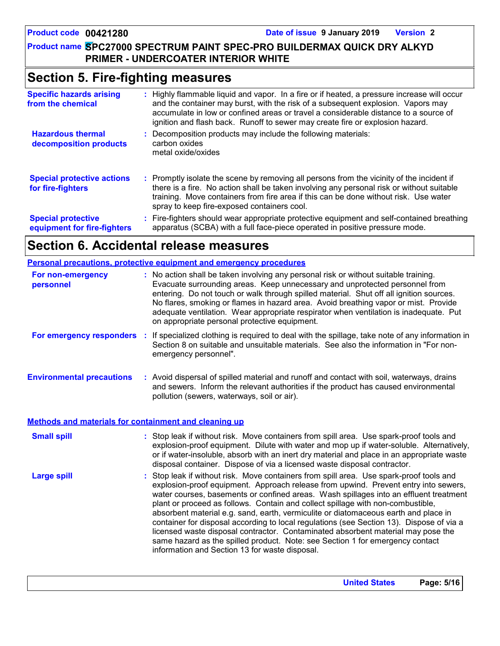## **Section 5. Fire-fighting measures**

| <b>Specific hazards arising</b><br>from the chemical     | : Highly flammable liquid and vapor. In a fire or if heated, a pressure increase will occur<br>and the container may burst, with the risk of a subsequent explosion. Vapors may<br>accumulate in low or confined areas or travel a considerable distance to a source of<br>ignition and flash back. Runoff to sewer may create fire or explosion hazard. |
|----------------------------------------------------------|----------------------------------------------------------------------------------------------------------------------------------------------------------------------------------------------------------------------------------------------------------------------------------------------------------------------------------------------------------|
| <b>Hazardous thermal</b><br>decomposition products       | Decomposition products may include the following materials:<br>carbon oxides<br>metal oxide/oxides                                                                                                                                                                                                                                                       |
| <b>Special protective actions</b><br>for fire-fighters   | : Promptly isolate the scene by removing all persons from the vicinity of the incident if<br>there is a fire. No action shall be taken involving any personal risk or without suitable<br>training. Move containers from fire area if this can be done without risk. Use water<br>spray to keep fire-exposed containers cool.                            |
| <b>Special protective</b><br>equipment for fire-fighters | Fire-fighters should wear appropriate protective equipment and self-contained breathing<br>apparatus (SCBA) with a full face-piece operated in positive pressure mode.                                                                                                                                                                                   |

## **Section 6. Accidental release measures**

|                                                                                           | <b>Personal precautions, protective equipment and emergency procedures</b>                                                                                                                                                                                                                                                                                                                                                                                                                                                                                                                                                                                                                                         |
|-------------------------------------------------------------------------------------------|--------------------------------------------------------------------------------------------------------------------------------------------------------------------------------------------------------------------------------------------------------------------------------------------------------------------------------------------------------------------------------------------------------------------------------------------------------------------------------------------------------------------------------------------------------------------------------------------------------------------------------------------------------------------------------------------------------------------|
| For non-emergency<br>personnel                                                            | : No action shall be taken involving any personal risk or without suitable training.<br>Evacuate surrounding areas. Keep unnecessary and unprotected personnel from<br>entering. Do not touch or walk through spilled material. Shut off all ignition sources.<br>No flares, smoking or flames in hazard area. Avoid breathing vapor or mist. Provide<br>adequate ventilation. Wear appropriate respirator when ventilation is inadequate. Put<br>on appropriate personal protective equipment.                                                                                                                                                                                                                    |
|                                                                                           | For emergency responders : If specialized clothing is required to deal with the spillage, take note of any information in<br>Section 8 on suitable and unsuitable materials. See also the information in "For non-<br>emergency personnel".                                                                                                                                                                                                                                                                                                                                                                                                                                                                        |
| <b>Environmental precautions</b><br>Methods and materials for containment and cleaning up | : Avoid dispersal of spilled material and runoff and contact with soil, waterways, drains<br>and sewers. Inform the relevant authorities if the product has caused environmental<br>pollution (sewers, waterways, soil or air).                                                                                                                                                                                                                                                                                                                                                                                                                                                                                    |
| <b>Small spill</b>                                                                        | : Stop leak if without risk. Move containers from spill area. Use spark-proof tools and<br>explosion-proof equipment. Dilute with water and mop up if water-soluble. Alternatively,<br>or if water-insoluble, absorb with an inert dry material and place in an appropriate waste<br>disposal container. Dispose of via a licensed waste disposal contractor.                                                                                                                                                                                                                                                                                                                                                      |
| <b>Large spill</b>                                                                        | : Stop leak if without risk. Move containers from spill area. Use spark-proof tools and<br>explosion-proof equipment. Approach release from upwind. Prevent entry into sewers,<br>water courses, basements or confined areas. Wash spillages into an effluent treatment<br>plant or proceed as follows. Contain and collect spillage with non-combustible,<br>absorbent material e.g. sand, earth, vermiculite or diatomaceous earth and place in<br>container for disposal according to local regulations (see Section 13). Dispose of via a<br>licensed waste disposal contractor. Contaminated absorbent material may pose the<br>same hazard as the spilled product. Note: see Section 1 for emergency contact |

information and Section 13 for waste disposal.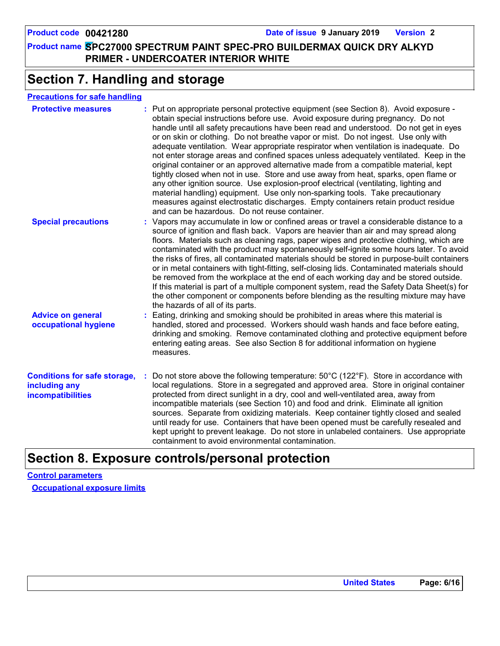#### **SPC27000 SPECTRUM PAINT SPEC-PRO BUILDERMAX QUICK DRY ALKYD Product name PRIMER - UNDERCOATER INTERIOR WHITE**

## **Section 7. Handling and storage**

#### **Precautions for safe handling**

| <b>Protective measures</b>                                                       | : Put on appropriate personal protective equipment (see Section 8). Avoid exposure -<br>obtain special instructions before use. Avoid exposure during pregnancy. Do not<br>handle until all safety precautions have been read and understood. Do not get in eyes<br>or on skin or clothing. Do not breathe vapor or mist. Do not ingest. Use only with<br>adequate ventilation. Wear appropriate respirator when ventilation is inadequate. Do<br>not enter storage areas and confined spaces unless adequately ventilated. Keep in the<br>original container or an approved alternative made from a compatible material, kept<br>tightly closed when not in use. Store and use away from heat, sparks, open flame or<br>any other ignition source. Use explosion-proof electrical (ventilating, lighting and<br>material handling) equipment. Use only non-sparking tools. Take precautionary<br>measures against electrostatic discharges. Empty containers retain product residue<br>and can be hazardous. Do not reuse container. |
|----------------------------------------------------------------------------------|---------------------------------------------------------------------------------------------------------------------------------------------------------------------------------------------------------------------------------------------------------------------------------------------------------------------------------------------------------------------------------------------------------------------------------------------------------------------------------------------------------------------------------------------------------------------------------------------------------------------------------------------------------------------------------------------------------------------------------------------------------------------------------------------------------------------------------------------------------------------------------------------------------------------------------------------------------------------------------------------------------------------------------------|
| <b>Special precautions</b>                                                       | : Vapors may accumulate in low or confined areas or travel a considerable distance to a<br>source of ignition and flash back. Vapors are heavier than air and may spread along<br>floors. Materials such as cleaning rags, paper wipes and protective clothing, which are<br>contaminated with the product may spontaneously self-ignite some hours later. To avoid<br>the risks of fires, all contaminated materials should be stored in purpose-built containers<br>or in metal containers with tight-fitting, self-closing lids. Contaminated materials should<br>be removed from the workplace at the end of each working day and be stored outside.<br>If this material is part of a multiple component system, read the Safety Data Sheet(s) for<br>the other component or components before blending as the resulting mixture may have<br>the hazards of all of its parts.                                                                                                                                                     |
| <b>Advice on general</b><br>occupational hygiene                                 | : Eating, drinking and smoking should be prohibited in areas where this material is<br>handled, stored and processed. Workers should wash hands and face before eating,<br>drinking and smoking. Remove contaminated clothing and protective equipment before<br>entering eating areas. See also Section 8 for additional information on hygiene<br>measures.                                                                                                                                                                                                                                                                                                                                                                                                                                                                                                                                                                                                                                                                         |
| <b>Conditions for safe storage,</b><br>including any<br><b>incompatibilities</b> | Do not store above the following temperature: $50^{\circ}$ C (122 $^{\circ}$ F). Store in accordance with<br>local regulations. Store in a segregated and approved area. Store in original container<br>protected from direct sunlight in a dry, cool and well-ventilated area, away from<br>incompatible materials (see Section 10) and food and drink. Eliminate all ignition<br>sources. Separate from oxidizing materials. Keep container tightly closed and sealed<br>until ready for use. Containers that have been opened must be carefully resealed and<br>kept upright to prevent leakage. Do not store in unlabeled containers. Use appropriate<br>containment to avoid environmental contamination.                                                                                                                                                                                                                                                                                                                        |

## **Section 8. Exposure controls/personal protection**

#### **Control parameters Occupational exposure limits**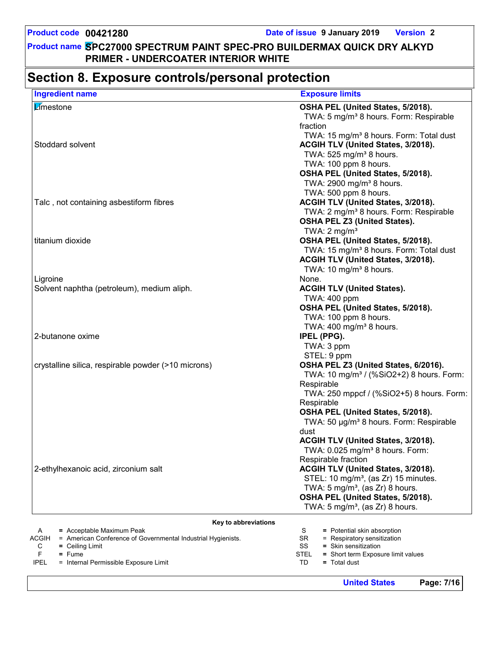# **Section 8. Exposure controls/personal protection**

| <b>Ingredient name</b>                                                | <b>Exposure limits</b>                                                                  |
|-----------------------------------------------------------------------|-----------------------------------------------------------------------------------------|
| Limestone                                                             | OSHA PEL (United States, 5/2018).<br>TWA: 5 mg/m <sup>3</sup> 8 hours. Form: Respirable |
|                                                                       | fraction                                                                                |
|                                                                       |                                                                                         |
|                                                                       | TWA: 15 mg/m <sup>3</sup> 8 hours. Form: Total dust                                     |
| Stoddard solvent                                                      | ACGIH TLV (United States, 3/2018).                                                      |
|                                                                       | TWA: 525 mg/m <sup>3</sup> 8 hours.                                                     |
|                                                                       | TWA: 100 ppm 8 hours.                                                                   |
|                                                                       | OSHA PEL (United States, 5/2018).                                                       |
|                                                                       | TWA: 2900 mg/m <sup>3</sup> 8 hours.                                                    |
|                                                                       | TWA: 500 ppm 8 hours.                                                                   |
| Talc, not containing asbestiform fibres                               | ACGIH TLV (United States, 3/2018).                                                      |
|                                                                       | TWA: 2 mg/m <sup>3</sup> 8 hours. Form: Respirable                                      |
|                                                                       | OSHA PEL Z3 (United States).                                                            |
|                                                                       | TWA: $2 \text{ mg/m}^3$                                                                 |
| titanium dioxide                                                      | OSHA PEL (United States, 5/2018).                                                       |
|                                                                       | TWA: 15 mg/m <sup>3</sup> 8 hours. Form: Total dust                                     |
|                                                                       |                                                                                         |
|                                                                       | ACGIH TLV (United States, 3/2018).                                                      |
|                                                                       | TWA: 10 mg/m <sup>3</sup> 8 hours.                                                      |
| Ligroine                                                              | None.                                                                                   |
| Solvent naphtha (petroleum), medium aliph.                            | <b>ACGIH TLV (United States).</b>                                                       |
|                                                                       | TWA: 400 ppm                                                                            |
|                                                                       | OSHA PEL (United States, 5/2018).                                                       |
|                                                                       | TWA: 100 ppm 8 hours.                                                                   |
|                                                                       | TWA: 400 mg/m <sup>3</sup> 8 hours.                                                     |
| 2-butanone oxime                                                      | IPEL (PPG).                                                                             |
|                                                                       | TWA: 3 ppm                                                                              |
|                                                                       | STEL: 9 ppm                                                                             |
| crystalline silica, respirable powder (>10 microns)                   | OSHA PEL Z3 (United States, 6/2016).                                                    |
|                                                                       |                                                                                         |
|                                                                       | TWA: 10 mg/m <sup>3</sup> / (%SiO2+2) 8 hours. Form:                                    |
|                                                                       | Respirable                                                                              |
|                                                                       | TWA: 250 mppcf / (%SiO2+5) 8 hours. Form:                                               |
|                                                                       | Respirable                                                                              |
|                                                                       | OSHA PEL (United States, 5/2018).                                                       |
|                                                                       | TWA: 50 µg/m <sup>3</sup> 8 hours. Form: Respirable                                     |
|                                                                       | dust                                                                                    |
|                                                                       | ACGIH TLV (United States, 3/2018).                                                      |
|                                                                       | TWA: 0.025 mg/m <sup>3</sup> 8 hours. Form:                                             |
|                                                                       | Respirable fraction                                                                     |
| 2-ethylhexanoic acid, zirconium salt                                  | ACGIH TLV (United States, 3/2018).                                                      |
|                                                                       | STEL: 10 mg/m <sup>3</sup> , (as Zr) 15 minutes.                                        |
|                                                                       | TWA: 5 mg/m <sup>3</sup> , (as $Zr$ ) 8 hours.                                          |
|                                                                       | OSHA PEL (United States, 5/2018).                                                       |
|                                                                       | TWA: $5 \text{ mg/m}^3$ , (as Zr) 8 hours.                                              |
| Key to abbreviations                                                  |                                                                                         |
| = Acceptable Maximum Peak<br>A                                        | S<br>= Potential skin absorption                                                        |
| ACGIH<br>= American Conference of Governmental Industrial Hygienists. | SR<br>= Respiratory sensitization                                                       |
| С<br>$=$ Ceiling Limit                                                | SS<br>= Skin sensitization                                                              |
| F<br>$=$ Fume                                                         | STEL<br>= Short term Exposure limit values                                              |
| <b>IPEL</b><br>= Internal Permissible Exposure Limit                  | TD<br>$=$ Total dust                                                                    |

**United States Page: 7/16**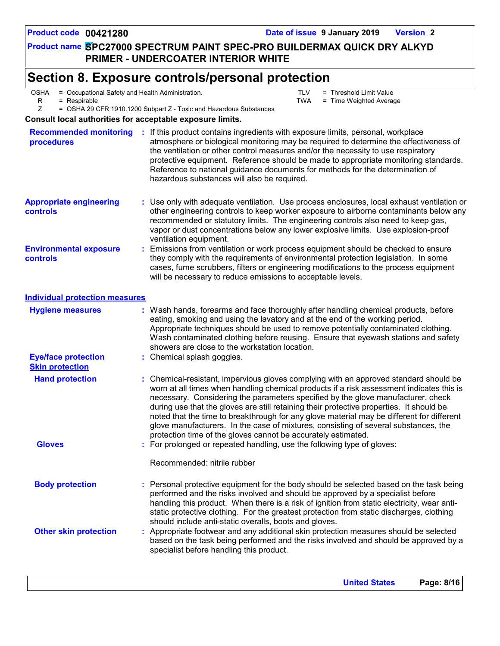**SPC27000 SPECTRUM PAINT SPEC-PRO BUILDERMAX QUICK DRY ALKYD Product name PRIMER - UNDERCOATER INTERIOR WHITE Product code 00421280 Date of issue 9 January 2019 Version 2 Section 8. Exposure controls/personal protection Hand protection** : Chemical-resistant, impervious gloves complying with an approved standard should be **inverted** worn at all times when handling chemical products if a risk assessment indicates this is necessary. Considering the parameters specified by the glove manufacturer, check during use that the gloves are still retaining their protective properties. It should be noted that the time to breakthrough for any glove material may be different for different glove manufacturers. In the case of mixtures, consisting of several substances, the protection time of the gloves cannot be accurately estimated. **Eye/face protection :** Chemical splash goggles. **Body protection** : Personal protective equipment for the body should be selected based on the task being **Body** performed and the risks involved and should be approved by a specialist before handling this product. When there is a risk of ignition from static electricity, wear antistatic protective clothing. For the greatest protection from static discharges, clothing should include anti-static overalls, boots and gloves. **Environmental exposure controls :** Emissions from ventilation or work process equipment should be checked to ensure they comply with the requirements of environmental protection legislation. In some cases, fume scrubbers, filters or engineering modifications to the process equipment will be necessary to reduce emissions to acceptable levels. **Appropriate engineering controls :** Use only with adequate ventilation. Use process enclosures, local exhaust ventilation or other engineering controls to keep worker exposure to airborne contaminants below any recommended or statutory limits. The engineering controls also need to keep gas, vapor or dust concentrations below any lower explosive limits. Use explosion-proof ventilation equipment. Wash hands, forearms and face thoroughly after handling chemical products, before eating, smoking and using the lavatory and at the end of the working period. Appropriate techniques should be used to remove potentially contaminated clothing. Wash contaminated clothing before reusing. Ensure that eyewash stations and safety showers are close to the workstation location. **Hygiene measures : Individual protection measures Skin protection Other skin protection : Recommended monitoring :** If this product contains ingredients with exposure limits, personal, workplace **procedures** atmosphere or biological monitoring may be required to determine the effectiveness of the ventilation or other control measures and/or the necessity to use respiratory protective equipment. Reference should be made to appropriate monitoring standards. Reference to national guidance documents for methods for the determination of hazardous substances will also be required. **Gloves** For prolonged or repeated handling, use the following type of gloves: Recommended: nitrile rubber Appropriate footwear and any additional skin protection measures should be selected based on the task being performed and the risks involved and should be approved by a specialist before handling this product. **Consult local authorities for acceptable exposure limits.** TLV = Threshold Limit Value TWA **=** Time Weighted Average OSHA **=** Occupational Safety and Health Administration.  $R = Respirable$ <br> $Z = OSHA 290$ = OSHA 29 CFR 1910.1200 Subpart Z - Toxic and Hazardous Substances

**United States Page: 8/16**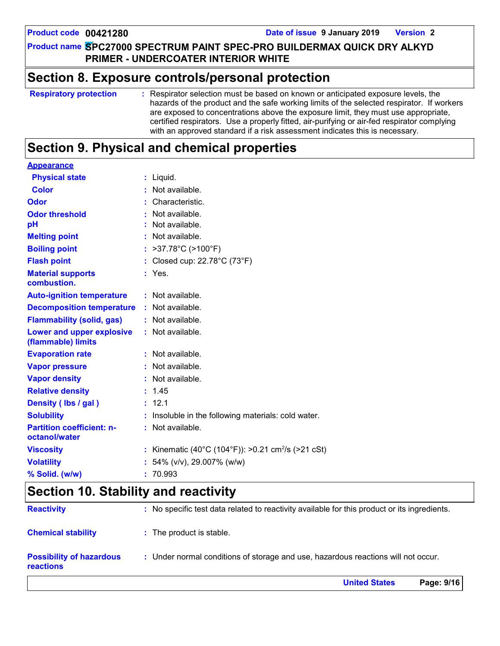#### **SPC27000 SPECTRUM PAINT SPEC-PRO BUILDERMAX QUICK DRY ALKYD Product name PRIMER - UNDERCOATER INTERIOR WHITE**

## **Section 8. Exposure controls/personal protection**

**Respiratory protection :** Respirator selection must be based on known or anticipated exposure levels, the hazards of the product and the safe working limits of the selected respirator. If workers are exposed to concentrations above the exposure limit, they must use appropriate, certified respirators. Use a properly fitted, air-purifying or air-fed respirator complying with an approved standard if a risk assessment indicates this is necessary.

## **Section 9. Physical and chemical properties**

| <b>Appearance</b>                                 |                                                              |
|---------------------------------------------------|--------------------------------------------------------------|
| <b>Physical state</b>                             | $:$ Liquid.                                                  |
| <b>Color</b>                                      | : Not available.                                             |
| Odor                                              | Characteristic.                                              |
| <b>Odor threshold</b>                             | Not available.                                               |
| pH                                                | Not available.                                               |
| <b>Melting point</b>                              | : Not available.                                             |
| <b>Boiling point</b>                              | : $>37.78^{\circ}C$ ( $>100^{\circ}F$ )                      |
| <b>Flash point</b>                                | : Closed cup: 22.78°C (73°F)                                 |
| <b>Material supports</b><br>combustion.           | : Yes.                                                       |
| <b>Auto-ignition temperature</b>                  | : Not available.                                             |
| <b>Decomposition temperature</b>                  | : Not available.                                             |
| <b>Flammability (solid, gas)</b>                  | : Not available.                                             |
| Lower and upper explosive<br>(flammable) limits   | : Not available.                                             |
| <b>Evaporation rate</b>                           | : Not available.                                             |
| <b>Vapor pressure</b>                             | : Not available.                                             |
| <b>Vapor density</b>                              | : Not available.                                             |
| <b>Relative density</b>                           | : 1.45                                                       |
| Density (Ibs / gal)                               | : 12.1                                                       |
| <b>Solubility</b>                                 | Insoluble in the following materials: cold water.            |
| <b>Partition coefficient: n-</b><br>octanol/water | : Not available.                                             |
| <b>Viscosity</b>                                  | Kinematic (40°C (104°F)): >0.21 cm <sup>2</sup> /s (>21 cSt) |
| <b>Volatility</b>                                 | 54% (v/v), 29.007% (w/w)                                     |
| % Solid. (w/w)                                    | : 70.993                                                     |

## **Section 10. Stability and reactivity**

|                                                     | <b>United States</b><br>Page: 9/16                                                           |
|-----------------------------------------------------|----------------------------------------------------------------------------------------------|
| <b>Possibility of hazardous</b><br><b>reactions</b> | : Under normal conditions of storage and use, hazardous reactions will not occur.            |
| <b>Chemical stability</b>                           | : The product is stable.                                                                     |
| <b>Reactivity</b>                                   | : No specific test data related to reactivity available for this product or its ingredients. |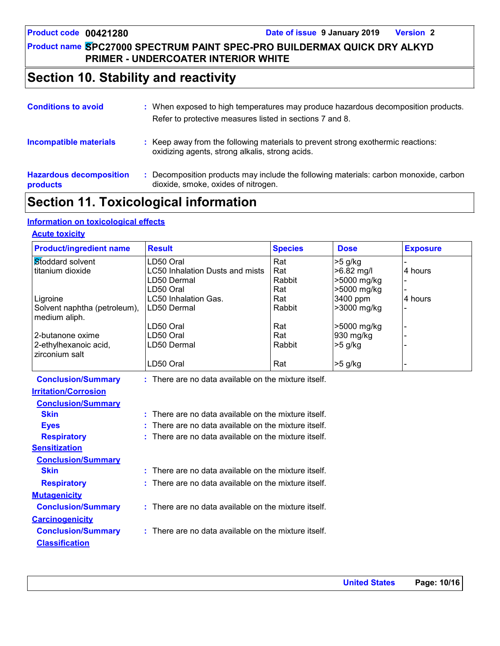#### **SPC27000 SPECTRUM PAINT SPEC-PRO BUILDERMAX QUICK DRY ALKYD Product name PRIMER - UNDERCOATER INTERIOR WHITE**

## **Section 10. Stability and reactivity**

| <b>Conditions to avoid</b>                 | : When exposed to high temperatures may produce hazardous decomposition products.<br>Refer to protective measures listed in sections 7 and 8. |
|--------------------------------------------|-----------------------------------------------------------------------------------------------------------------------------------------------|
| <b>Incompatible materials</b>              | : Keep away from the following materials to prevent strong exothermic reactions:<br>oxidizing agents, strong alkalis, strong acids.           |
| <b>Hazardous decomposition</b><br>products | Decomposition products may include the following materials: carbon monoxide, carbon<br>dioxide, smoke, oxides of nitrogen.                    |

## **Section 11. Toxicological information**

#### **Information on toxicological effects**

#### **Acute toxicity**

**Carcinogenicity**

**Classification**

**Conclusion/Summary :**

| <b>Product/ingredient name</b>                | <b>Result</b>                                          | <b>Species</b> | <b>Dose</b> | <b>Exposure</b> |
|-----------------------------------------------|--------------------------------------------------------|----------------|-------------|-----------------|
| Stoddard solvent                              | LD50 Oral                                              | Rat            | >5 g/kg     |                 |
| titanium dioxide                              | <b>LC50 Inhalation Dusts and mists</b>                 | Rat            | >6.82 mg/l  | 4 hours         |
|                                               | LD50 Dermal                                            | Rabbit         | >5000 mg/kg |                 |
|                                               | LD50 Oral                                              | Rat            | >5000 mg/kg |                 |
| Ligroine                                      | LC50 Inhalation Gas.                                   | Rat            | 3400 ppm    | 4 hours         |
| Solvent naphtha (petroleum),<br>medium aliph. | LD50 Dermal                                            | Rabbit         | >3000 mg/kg |                 |
|                                               | LD50 Oral                                              | Rat            | >5000 mg/kg |                 |
| 2-butanone oxime                              | LD50 Oral                                              | Rat            | 930 mg/kg   |                 |
| 2-ethylhexanoic acid,<br>zirconium salt       | LD50 Dermal                                            | Rabbit         | >5 g/kg     |                 |
|                                               | LD50 Oral                                              | Rat            | >5 g/kg     |                 |
| <b>Conclusion/Summary</b>                     | : There are no data available on the mixture itself.   |                |             |                 |
| <b>Irritation/Corrosion</b>                   |                                                        |                |             |                 |
| <b>Conclusion/Summary</b>                     |                                                        |                |             |                 |
| <b>Skin</b>                                   | There are no data available on the mixture itself.     |                |             |                 |
| <b>Eyes</b>                                   | There are no data available on the mixture itself.     |                |             |                 |
| <b>Respiratory</b>                            | There are no data available on the mixture itself.     |                |             |                 |
| <b>Sensitization</b>                          |                                                        |                |             |                 |
| <b>Conclusion/Summary</b>                     |                                                        |                |             |                 |
| <b>Skin</b>                                   | There are no data available on the mixture itself.     |                |             |                 |
| <b>Respiratory</b>                            | There are no data available on the mixture itself.     |                |             |                 |
| <b>Mutagenicity</b>                           |                                                        |                |             |                 |
| <b>Conclusion/Summary</b>                     | $:$ There are no data available on the mixture itself. |                |             |                 |

: There are no data available on the mixture itself.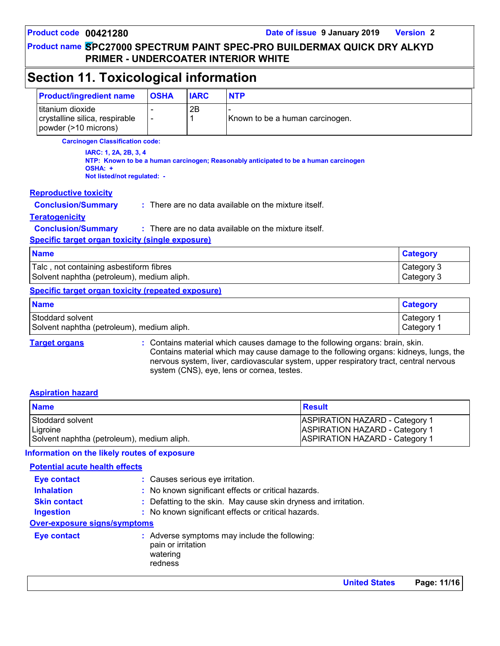#### **SPC27000 SPECTRUM PAINT SPEC-PRO BUILDERMAX QUICK DRY ALKYD Product name PRIMER - UNDERCOATER INTERIOR WHITE**

## **Section 11. Toxicological information**

| <b>Product/ingredient name</b>                                             | <b>OSHA</b> | <b>IARC</b> | <b>NTP</b>                      |
|----------------------------------------------------------------------------|-------------|-------------|---------------------------------|
| titanium dioxide<br>crystalline silica, respirable<br>powder (>10 microns) |             | 2B          | Known to be a human carcinogen. |

**Carcinogen Classification code:**

**IARC: 1, 2A, 2B, 3, 4 NTP: Known to be a human carcinogen; Reasonably anticipated to be a human carcinogen OSHA: + Not listed/not regulated: -**

#### **Reproductive toxicity**

**Conclusion/Summary :**

There are no data available on the mixture itself.

#### **Teratogenicity**

**Conclusion/Summary :** There are no data available on the mixture itself.

#### **Specific target organ toxicity (single exposure)**

| <b>Name</b>                                                                           | <b>Category</b>          |
|---------------------------------------------------------------------------------------|--------------------------|
| Talc, not containing asbestiform fibres<br>Solvent naphtha (petroleum), medium aliph. | Category 3<br>Category 3 |
|                                                                                       |                          |

#### **Specific target organ toxicity (repeated exposure)**

| <b>Name</b>                                | <b>Category</b> |
|--------------------------------------------|-----------------|
| Stoddard solvent                           | Category 1      |
| Solvent naphtha (petroleum), medium aliph. | Category 1      |

**Target organs :** Contains material which causes damage to the following organs: brain, skin. Contains material which may cause damage to the following organs: kidneys, lungs, the nervous system, liver, cardiovascular system, upper respiratory tract, central nervous system (CNS), eye, lens or cornea, testes.

#### **Aspiration hazard**

| <b>Name</b>                                | <b>Result</b>                         |
|--------------------------------------------|---------------------------------------|
| Stoddard solvent                           | <b>ASPIRATION HAZARD - Category 1</b> |
| Ligroine                                   | <b>ASPIRATION HAZARD - Category 1</b> |
| Solvent naphtha (petroleum), medium aliph. | <b>ASPIRATION HAZARD - Category 1</b> |

#### **Information on the likely routes of exposure**

#### **Potential acute health effects**

|                                     | <b>Halland Olaters</b>                                                                     | $P_{max}$ . 4414 $P$ |
|-------------------------------------|--------------------------------------------------------------------------------------------|----------------------|
| <b>Eye contact</b>                  | : Adverse symptoms may include the following:<br>pain or irritation<br>watering<br>redness |                      |
| <b>Over-exposure signs/symptoms</b> |                                                                                            |                      |
| <b>Ingestion</b>                    | : No known significant effects or critical hazards.                                        |                      |
| <b>Skin contact</b>                 | : Defatting to the skin. May cause skin dryness and irritation.                            |                      |
| <b>Inhalation</b>                   | : No known significant effects or critical hazards.                                        |                      |
| <b>Eye contact</b>                  | : Causes serious eye irritation.                                                           |                      |
|                                     |                                                                                            |                      |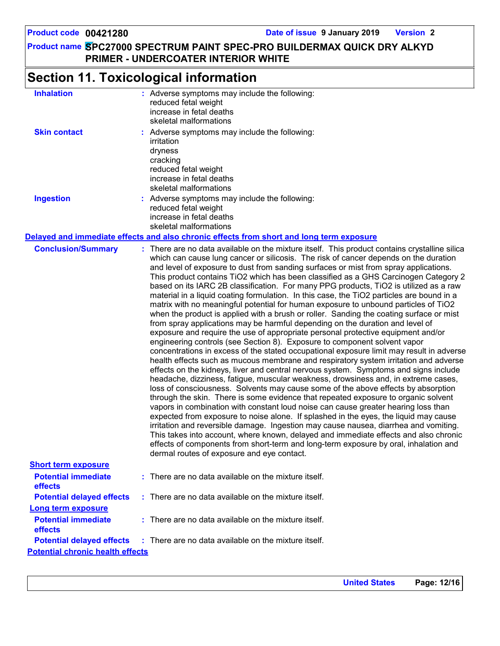#### **SPC27000 SPECTRUM PAINT SPEC-PRO BUILDERMAX QUICK DRY ALKYD Product name PRIMER - UNDERCOATER INTERIOR WHITE**

## **Section 11. Toxicological information**

| <b>Inhalation</b>                                                           | : Adverse symptoms may include the following:<br>reduced fetal weight<br>increase in fetal deaths<br>skeletal malformations                                                                                                                                                                                                                                                                                                                                                                                                                                                                                                                                                                                                                                                                                                                                                                                                                                                                                                                                                                                                                                                                                                                                                                                                                                                                                                                                                                                                                                                                                                                                                                                                                                                                                                                                                                                                                                                                                                                     |
|-----------------------------------------------------------------------------|-------------------------------------------------------------------------------------------------------------------------------------------------------------------------------------------------------------------------------------------------------------------------------------------------------------------------------------------------------------------------------------------------------------------------------------------------------------------------------------------------------------------------------------------------------------------------------------------------------------------------------------------------------------------------------------------------------------------------------------------------------------------------------------------------------------------------------------------------------------------------------------------------------------------------------------------------------------------------------------------------------------------------------------------------------------------------------------------------------------------------------------------------------------------------------------------------------------------------------------------------------------------------------------------------------------------------------------------------------------------------------------------------------------------------------------------------------------------------------------------------------------------------------------------------------------------------------------------------------------------------------------------------------------------------------------------------------------------------------------------------------------------------------------------------------------------------------------------------------------------------------------------------------------------------------------------------------------------------------------------------------------------------------------------------|
| <b>Skin contact</b>                                                         | : Adverse symptoms may include the following:<br>irritation<br>dryness<br>cracking<br>reduced fetal weight<br>increase in fetal deaths<br>skeletal malformations                                                                                                                                                                                                                                                                                                                                                                                                                                                                                                                                                                                                                                                                                                                                                                                                                                                                                                                                                                                                                                                                                                                                                                                                                                                                                                                                                                                                                                                                                                                                                                                                                                                                                                                                                                                                                                                                                |
| <b>Ingestion</b>                                                            | : Adverse symptoms may include the following:<br>reduced fetal weight<br>increase in fetal deaths<br>skeletal malformations<br>Delayed and immediate effects and also chronic effects from short and long term exposure                                                                                                                                                                                                                                                                                                                                                                                                                                                                                                                                                                                                                                                                                                                                                                                                                                                                                                                                                                                                                                                                                                                                                                                                                                                                                                                                                                                                                                                                                                                                                                                                                                                                                                                                                                                                                         |
| <b>Conclusion/Summary</b>                                                   | : There are no data available on the mixture itself. This product contains crystalline silica<br>which can cause lung cancer or silicosis. The risk of cancer depends on the duration<br>and level of exposure to dust from sanding surfaces or mist from spray applications.<br>This product contains TiO2 which has been classified as a GHS Carcinogen Category 2<br>based on its IARC 2B classification. For many PPG products, TiO2 is utilized as a raw<br>material in a liquid coating formulation. In this case, the TiO2 particles are bound in a<br>matrix with no meaningful potential for human exposure to unbound particles of TiO2<br>when the product is applied with a brush or roller. Sanding the coating surface or mist<br>from spray applications may be harmful depending on the duration and level of<br>exposure and require the use of appropriate personal protective equipment and/or<br>engineering controls (see Section 8). Exposure to component solvent vapor<br>concentrations in excess of the stated occupational exposure limit may result in adverse<br>health effects such as mucous membrane and respiratory system irritation and adverse<br>effects on the kidneys, liver and central nervous system. Symptoms and signs include<br>headache, dizziness, fatigue, muscular weakness, drowsiness and, in extreme cases,<br>loss of consciousness. Solvents may cause some of the above effects by absorption<br>through the skin. There is some evidence that repeated exposure to organic solvent<br>vapors in combination with constant loud noise can cause greater hearing loss than<br>expected from exposure to noise alone. If splashed in the eyes, the liquid may cause<br>irritation and reversible damage. Ingestion may cause nausea, diarrhea and vomiting.<br>This takes into account, where known, delayed and immediate effects and also chronic<br>effects of components from short-term and long-term exposure by oral, inhalation and<br>dermal routes of exposure and eye contact. |
| <b>Short term exposure</b><br><b>Potential immediate</b><br>effects         | : There are no data available on the mixture itself.                                                                                                                                                                                                                                                                                                                                                                                                                                                                                                                                                                                                                                                                                                                                                                                                                                                                                                                                                                                                                                                                                                                                                                                                                                                                                                                                                                                                                                                                                                                                                                                                                                                                                                                                                                                                                                                                                                                                                                                            |
| <b>Potential delayed effects</b><br>Long term exposure                      | : There are no data available on the mixture itself.                                                                                                                                                                                                                                                                                                                                                                                                                                                                                                                                                                                                                                                                                                                                                                                                                                                                                                                                                                                                                                                                                                                                                                                                                                                                                                                                                                                                                                                                                                                                                                                                                                                                                                                                                                                                                                                                                                                                                                                            |
| <b>Potential immediate</b><br>effects                                       | : There are no data available on the mixture itself.                                                                                                                                                                                                                                                                                                                                                                                                                                                                                                                                                                                                                                                                                                                                                                                                                                                                                                                                                                                                                                                                                                                                                                                                                                                                                                                                                                                                                                                                                                                                                                                                                                                                                                                                                                                                                                                                                                                                                                                            |
| <b>Potential delayed effects</b><br><b>Potential chronic health effects</b> | : There are no data available on the mixture itself.                                                                                                                                                                                                                                                                                                                                                                                                                                                                                                                                                                                                                                                                                                                                                                                                                                                                                                                                                                                                                                                                                                                                                                                                                                                                                                                                                                                                                                                                                                                                                                                                                                                                                                                                                                                                                                                                                                                                                                                            |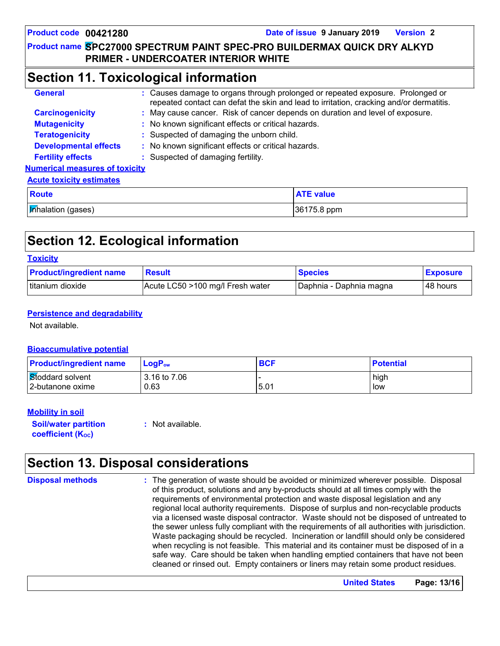## **Section 11. Toxicological information**

| <b>General</b>                        | : Causes damage to organs through prolonged or repeated exposure. Prolonged or<br>repeated contact can defat the skin and lead to irritation, cracking and/or dermatitis. |  |
|---------------------------------------|---------------------------------------------------------------------------------------------------------------------------------------------------------------------------|--|
| <b>Carcinogenicity</b>                | : May cause cancer. Risk of cancer depends on duration and level of exposure.                                                                                             |  |
| <b>Mutagenicity</b>                   | : No known significant effects or critical hazards.                                                                                                                       |  |
| <b>Teratogenicity</b>                 | : Suspected of damaging the unborn child.                                                                                                                                 |  |
| <b>Developmental effects</b>          | : No known significant effects or critical hazards.                                                                                                                       |  |
| <b>Fertility effects</b>              | : Suspected of damaging fertility.                                                                                                                                        |  |
| <b>Numerical measures of toxicity</b> |                                                                                                                                                                           |  |
| <b>Acute toxicity estimates</b>       |                                                                                                                                                                           |  |
| <b>Route</b>                          | <b>ATE value</b>                                                                                                                                                          |  |
| <b>Inhalation</b> (gases)             | 36175.8 ppm                                                                                                                                                               |  |

## **Section 12. Ecological information**

| <b>Toxicity</b>                |                                  |                         |                 |
|--------------------------------|----------------------------------|-------------------------|-----------------|
| <b>Product/ingredient name</b> | <b>Result</b>                    | <b>Species</b>          | <b>Exposure</b> |
| titanium dioxide               | Acute LC50 >100 mg/l Fresh water | Daphnia - Daphnia magna | 48 hours        |

#### **Persistence and degradability**

Not available.

#### **Bioaccumulative potential**

| <b>Product/ingredient name</b> | $\mathsf{LogP}_\mathsf{ow}$ | <b>BCF</b> | <b>Potential</b> |
|--------------------------------|-----------------------------|------------|------------------|
| Stoddard solvent               | 3.16 to 7.06                | .5.01      | high             |
| 12-butanone oxime              | 0.63                        |            | low              |

#### **Mobility in soil**

**Soil/water partition coefficient (K**<sub>oc</sub>)

**:** Not available.

## **Section 13. Disposal considerations**

| <b>Disposal methods</b> | : The generation of waste should be avoided or minimized wherever possible. Disposal<br>of this product, solutions and any by-products should at all times comply with the<br>requirements of environmental protection and waste disposal legislation and any<br>regional local authority requirements. Dispose of surplus and non-recyclable products<br>via a licensed waste disposal contractor. Waste should not be disposed of untreated to<br>the sewer unless fully compliant with the requirements of all authorities with jurisdiction.<br>Waste packaging should be recycled. Incineration or landfill should only be considered<br>when recycling is not feasible. This material and its container must be disposed of in a<br>safe way. Care should be taken when handling emptied containers that have not been<br>cleaned or rinsed out. Empty containers or liners may retain some product residues. |
|-------------------------|---------------------------------------------------------------------------------------------------------------------------------------------------------------------------------------------------------------------------------------------------------------------------------------------------------------------------------------------------------------------------------------------------------------------------------------------------------------------------------------------------------------------------------------------------------------------------------------------------------------------------------------------------------------------------------------------------------------------------------------------------------------------------------------------------------------------------------------------------------------------------------------------------------------------|
|-------------------------|---------------------------------------------------------------------------------------------------------------------------------------------------------------------------------------------------------------------------------------------------------------------------------------------------------------------------------------------------------------------------------------------------------------------------------------------------------------------------------------------------------------------------------------------------------------------------------------------------------------------------------------------------------------------------------------------------------------------------------------------------------------------------------------------------------------------------------------------------------------------------------------------------------------------|

**United States Page: 13/16**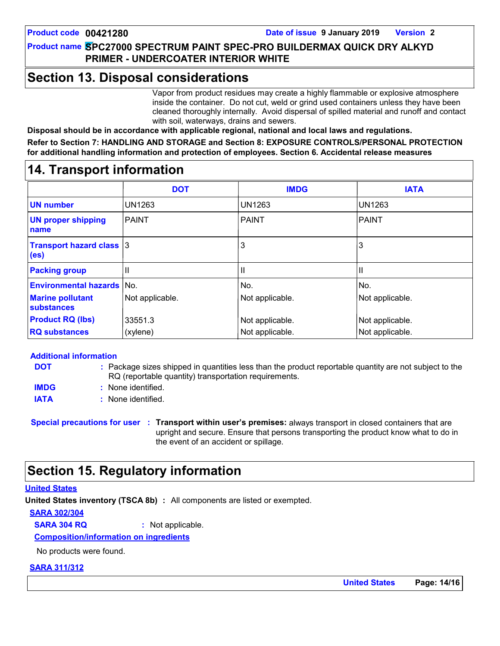## **Section 13. Disposal considerations**

Vapor from product residues may create a highly flammable or explosive atmosphere inside the container. Do not cut, weld or grind used containers unless they have been cleaned thoroughly internally. Avoid dispersal of spilled material and runoff and contact with soil, waterways, drains and sewers.

**Disposal should be in accordance with applicable regional, national and local laws and regulations.**

**Refer to Section 7: HANDLING AND STORAGE and Section 8: EXPOSURE CONTROLS/PERSONAL PROTECTION for additional handling information and protection of employees. Section 6. Accidental release measures**

### **14. Transport information**

|                                                      | <b>DOT</b>      | <b>IMDG</b>     | <b>IATA</b>     |
|------------------------------------------------------|-----------------|-----------------|-----------------|
| <b>UN number</b>                                     | <b>UN1263</b>   | <b>UN1263</b>   | UN1263          |
| <b>UN proper shipping</b><br>name                    | <b>PAINT</b>    | <b>PAINT</b>    | <b>PAINT</b>    |
| <b>Transport hazard class 3</b><br>(e <sub>s</sub> ) |                 | 3               | 3               |
| <b>Packing group</b>                                 | Ш               | $\mathbf{I}$    | Ш               |
| Environmental hazards   No.                          |                 | No.             | No.             |
| <b>Marine pollutant</b><br><b>substances</b>         | Not applicable. | Not applicable. | Not applicable. |
| <b>Product RQ (lbs)</b>                              | 33551.3         | Not applicable. | Not applicable. |
| <b>RQ substances</b>                                 | (xylene)        | Not applicable. | Not applicable. |

#### **Additional information**

**DOT**

- Package sizes shipped in quantities less than the product reportable quantity are not subject to the **:** RQ (reportable quantity) transportation requirements.
- None identified. **: IMDG**
- **IATA :** None identified.

## **Section 15. Regulatory information**

#### **United States**

**United States inventory (TSCA 8b) :** All components are listed or exempted.

#### **SARA 302/304**

**SARA 304 RQ :** Not applicable.

#### **Composition/information on ingredients**

No products were found.

#### **SARA 311/312**

**United States Page: 14/16**

**Special precautions for user Transport within user's premises:** always transport in closed containers that are **:** upright and secure. Ensure that persons transporting the product know what to do in the event of an accident or spillage.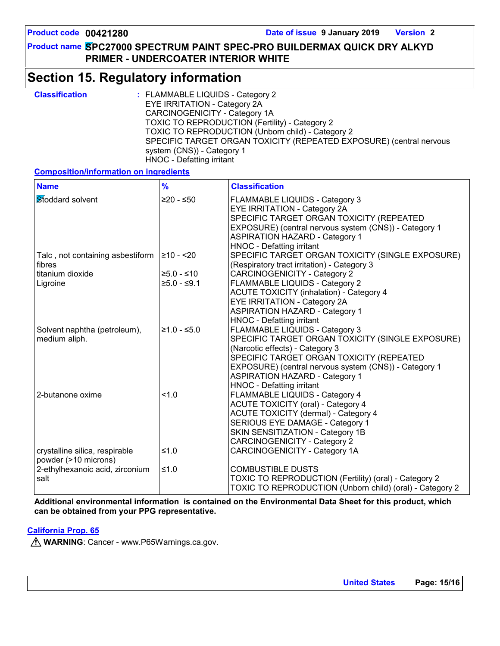## **Section 15. Regulatory information**

| <b>Classification</b> | : FLAMMABLE LIQUIDS - Category 2                                    |
|-----------------------|---------------------------------------------------------------------|
|                       | EYE IRRITATION - Category 2A                                        |
|                       | CARCINOGENICITY - Category 1A                                       |
|                       | TOXIC TO REPRODUCTION (Fertility) - Category 2                      |
|                       | TOXIC TO REPRODUCTION (Unborn child) - Category 2                   |
|                       | SPECIFIC TARGET ORGAN TOXICITY (REPEATED EXPOSURE) (central nervous |
|                       | system (CNS)) - Category 1                                          |
|                       | HNOC - Defatting irritant                                           |

#### **Composition/information on ingredients**

| <b>Name</b>                                            | $\frac{9}{6}$ | <b>Classification</b>                                                                                                                                                                                                                            |
|--------------------------------------------------------|---------------|--------------------------------------------------------------------------------------------------------------------------------------------------------------------------------------------------------------------------------------------------|
| Stoddard solvent                                       | $≥20 - ≤50$   | FLAMMABLE LIQUIDS - Category 3<br><b>EYE IRRITATION - Category 2A</b><br>SPECIFIC TARGET ORGAN TOXICITY (REPEATED<br>EXPOSURE) (central nervous system (CNS)) - Category 1<br><b>ASPIRATION HAZARD - Category 1</b><br>HNOC - Defatting irritant |
| Talc, not containing asbestiform                       | $≥10 - 20$    | SPECIFIC TARGET ORGAN TOXICITY (SINGLE EXPOSURE)                                                                                                                                                                                                 |
| fibres                                                 |               | (Respiratory tract irritation) - Category 3                                                                                                                                                                                                      |
| titanium dioxide                                       | $≥5.0 - ≤10$  | <b>CARCINOGENICITY - Category 2</b>                                                                                                                                                                                                              |
| Ligroine                                               | $≥5.0 - ≤9.1$ | FLAMMABLE LIQUIDS - Category 2                                                                                                                                                                                                                   |
|                                                        |               | <b>ACUTE TOXICITY (inhalation) - Category 4</b>                                                                                                                                                                                                  |
|                                                        |               | EYE IRRITATION - Category 2A                                                                                                                                                                                                                     |
|                                                        |               | <b>ASPIRATION HAZARD - Category 1</b>                                                                                                                                                                                                            |
|                                                        |               | HNOC - Defatting irritant                                                                                                                                                                                                                        |
| Solvent naphtha (petroleum),                           | $≥1.0 - ≤5.0$ | FLAMMABLE LIQUIDS - Category 3                                                                                                                                                                                                                   |
| medium aliph.                                          |               | SPECIFIC TARGET ORGAN TOXICITY (SINGLE EXPOSURE)                                                                                                                                                                                                 |
|                                                        |               | (Narcotic effects) - Category 3                                                                                                                                                                                                                  |
|                                                        |               | SPECIFIC TARGET ORGAN TOXICITY (REPEATED                                                                                                                                                                                                         |
|                                                        |               | EXPOSURE) (central nervous system (CNS)) - Category 1<br><b>ASPIRATION HAZARD - Category 1</b>                                                                                                                                                   |
|                                                        |               | HNOC - Defatting irritant                                                                                                                                                                                                                        |
| 2-butanone oxime                                       | 1.0           | FLAMMABLE LIQUIDS - Category 4                                                                                                                                                                                                                   |
|                                                        |               | <b>ACUTE TOXICITY (oral) - Category 4</b>                                                                                                                                                                                                        |
|                                                        |               | ACUTE TOXICITY (dermal) - Category 4                                                                                                                                                                                                             |
|                                                        |               | SERIOUS EYE DAMAGE - Category 1                                                                                                                                                                                                                  |
|                                                        |               | SKIN SENSITIZATION - Category 1B                                                                                                                                                                                                                 |
|                                                        |               | <b>CARCINOGENICITY - Category 2</b>                                                                                                                                                                                                              |
| crystalline silica, respirable<br>powder (>10 microns) | $≤1.0$        | CARCINOGENICITY - Category 1A                                                                                                                                                                                                                    |
| 2-ethylhexanoic acid, zirconium                        | $≤1.0$        | <b>COMBUSTIBLE DUSTS</b>                                                                                                                                                                                                                         |
| salt                                                   |               | TOXIC TO REPRODUCTION (Fertility) (oral) - Category 2<br>TOXIC TO REPRODUCTION (Unborn child) (oral) - Category 2                                                                                                                                |

**Additional environmental information is contained on the Environmental Data Sheet for this product, which can be obtained from your PPG representative.**

#### **California Prop. 65**

**M** WARNING: Cancer - www.P65Warnings.ca.gov.